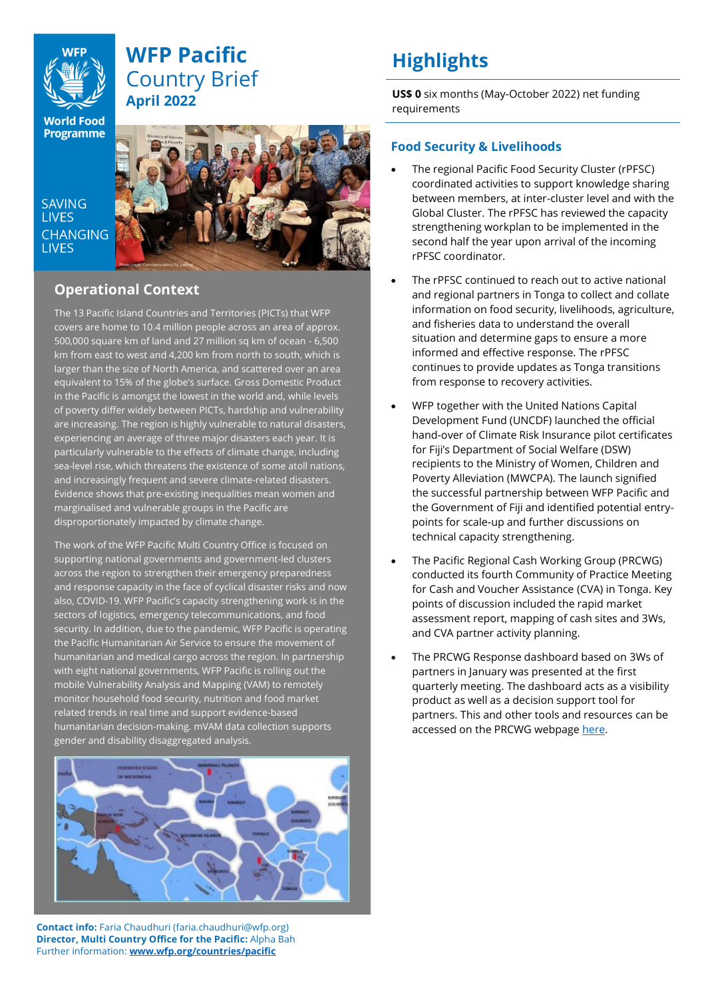

## **WFP Pacific** Country Brief **April 2022**

**World Food Programme** 

SAVING **LIVES CHANGING I IVES** 



## **Operational Context**

The 13 Pacific Island Countries and Territories (PICTs) that WFP covers are home to 10.4 million people across an area of approx. 500,000 square km of land and 27 million sq km of ocean - 6,500 km from east to west and 4,200 km from north to south, which is larger than the size of North America, and scattered over an area equivalent to 15% of the globe's surface. Gross Domestic Product in the Pacific is amongst the lowest in the world and, while levels of poverty differ widely between PICTs, hardship and vulnerability are increasing. The region is highly vulnerable to natural disasters, experiencing an average of three major disasters each year. It is particularly vulnerable to the effects of climate change, including sea-level rise, which threatens the existence of some atoll nations, and increasingly frequent and severe climate-related disasters. Evidence shows that pre-existing inequalities mean women and marginalised and vulnerable groups in the Pacific are disproportionately impacted by climate change.

The work of the WFP Pacific Multi Country Office is focused on supporting national governments and government-led clusters across the region to strengthen their emergency preparedness and response capacity in the face of cyclical disaster risks and now also, COVID-19. WFP Pacific's capacity strengthening work is in the sectors of logistics, emergency telecommunications, and food security. In addition, due to the pandemic, WFP Pacific is operating the Pacific Humanitarian Air Service to ensure the movement of humanitarian and medical cargo across the region. In partnership with eight national governments, WFP Pacific is rolling out the mobile Vulnerability Analysis and Mapping (VAM) to remotely monitor household food security, nutrition and food market related trends in real time and support evidence-based humanitarian decision-making. mVAM data collection supports gender and disability disaggregated analysis.



**Contact info:** Faria Chaudhuri (faria.chaudhuri@wfp.org) **Director, Multi Country Office for the Pacific:** Alpha Bah Further information: **[www.wfp.org/countries/pacific](http://www.wfp.org/countries/pacific)**

# **Highlights**

**US\$ 0** six months (May-October 2022) net funding requirements

### **Food Security & Livelihoods**

- The regional Pacific Food Security Cluster (rPFSC) coordinated activities to support knowledge sharing between members, at inter-cluster level and with the Global Cluster. The rPFSC has reviewed the capacity strengthening workplan to be implemented in the second half the year upon arrival of the incoming rPFSC coordinator.
- The rPFSC continued to reach out to active national and regional partners in Tonga to collect and collate information on food security, livelihoods, agriculture, and fisheries data to understand the overall situation and determine gaps to ensure a more informed and effective response. The rPFSC continues to provide updates as Tonga transitions from response to recovery activities.
- WFP together with the United Nations Capital Development Fund (UNCDF) launched the official hand-over of Climate Risk Insurance pilot certificates for Fiji's Department of Social Welfare (DSW) recipients to the Ministry of Women, Children and Poverty Alleviation (MWCPA). The launch signified the successful partnership between WFP Pacific and the Government of Fiji and identified potential entrypoints for scale-up and further discussions on technical capacity strengthening.
- The Pacific Regional Cash Working Group (PRCWG) conducted its fourth Community of Practice Meeting for Cash and Voucher Assistance (CVA) in Tonga. Key points of discussion included the rapid market assessment report, mapping of cash sites and 3Ws, and CVA partner activity planning.
- The PRCWG Response dashboard based on 3Ws of partners in January was presented at the first quarterly meeting. The dashboard acts as a visibility product as well as a decision support tool for partners. This and other tools and resources can be accessed on the PRCWG webpage [here.](https://www.humanitarianresponse.info/en/operations/pacific-region/pacific-regional-cash-working-group-prcwg#:~:text=The%20PRCWG%20endorsed%20by%20Pacific,Regional%20Inter%2DCluster%20Coordination%20Group)